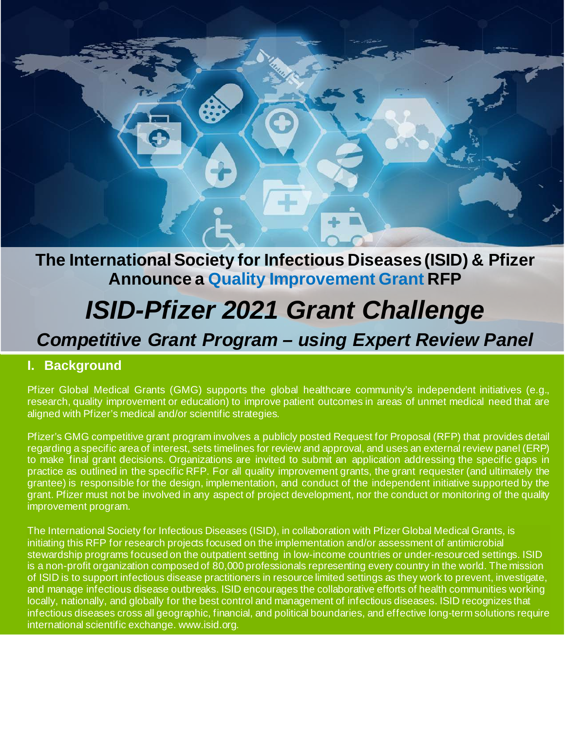

# **The International Society for Infectious Diseases (ISID) & Pfizer Announce a Quality Improvement Grant RFP**

# *ISID-Pfizer 2021 Grant Challenge*

# *Competitive Grant Program – using Expert Review Panel*

### **I. Background**

Pfizer Global Medical Grants (GMG) supports the global healthcare community's independent initiatives (e.g., research, quality improvement or education) to improve patient outcomes in areas of unmet medical need that are aligned with Pfizer's medical and/or scientific strategies.

Pfizer's GMG competitive grant program involves a publicly posted Request for Proposal (RFP) that provides detail regarding a specific area of interest, sets timelines for review and approval, and uses an external review panel (ERP) to make final grant decisions. Organizations are invited to submit an application addressing the specific gaps in practice as outlined in the specific RFP. For all quality improvement grants, the grant requester (and ultimately the grantee) is responsible for the design, implementation, and conduct of the independent initiative supported by the grant. Pfizer must not be involved in any aspect of project development, nor the conduct or monitoring of the quality improvement program.

The International Society for Infectious Diseases (ISID), in collaboration with Pfizer Global Medical Grants, is initiating this RFP for research projects focused on the implementation and/or assessment of antimicrobial stewardship programs focused on the outpatient setting in low-income countries or under-resourced settings. ISID is a non-profit organization composed of 80,000 professionals representing every country in the world. The mission of ISID is to support infectious disease practitioners in resource limited settings as they work to prevent, investigate, and manage infectious disease outbreaks. ISID encourages the collaborative efforts of health communities working locally, nationally, and globally for the best control and management of infectious diseases. ISID recognizes that infectious diseases cross all geographic, financial, and political boundaries, and effective long-term solutions require international scientific exchange. www.isid.org.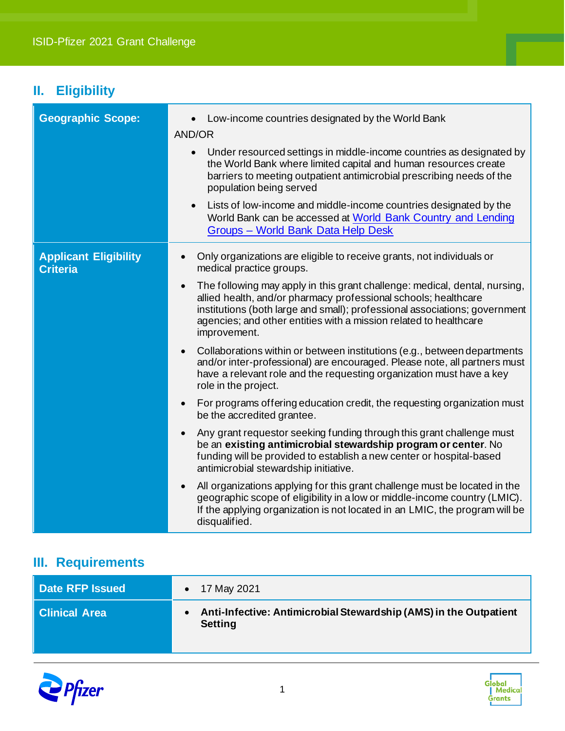## **II. Eligibility**

| <b>Geographic Scope:</b>                        | Low-income countries designated by the World Bank<br>AND/OR                                                                                                                                                                                                                                                                   |
|-------------------------------------------------|-------------------------------------------------------------------------------------------------------------------------------------------------------------------------------------------------------------------------------------------------------------------------------------------------------------------------------|
|                                                 | Under resourced settings in middle-income countries as designated by<br>the World Bank where limited capital and human resources create<br>barriers to meeting outpatient antimicrobial prescribing needs of the<br>population being served                                                                                   |
|                                                 | Lists of low-income and middle-income countries designated by the<br>World Bank can be accessed at World Bank Country and Lending<br>Groups - World Bank Data Help Desk                                                                                                                                                       |
| <b>Applicant Eligibility</b><br><b>Criteria</b> | Only organizations are eligible to receive grants, not individuals or<br>medical practice groups.                                                                                                                                                                                                                             |
|                                                 | The following may apply in this grant challenge: medical, dental, nursing,<br>$\bullet$<br>allied health, and/or pharmacy professional schools; healthcare<br>institutions (both large and small); professional associations; government<br>agencies; and other entities with a mission related to healthcare<br>improvement. |
|                                                 | Collaborations within or between institutions (e.g., between departments<br>and/or inter-professional) are encouraged. Please note, all partners must<br>have a relevant role and the requesting organization must have a key<br>role in the project.                                                                         |
|                                                 | For programs offering education credit, the requesting organization must<br>$\bullet$<br>be the accredited grantee.                                                                                                                                                                                                           |
|                                                 | Any grant requestor seeking funding through this grant challenge must<br>be an existing antimicrobial stewardship program or center. No<br>funding will be provided to establish a new center or hospital-based<br>antimicrobial stewardship initiative.                                                                      |
|                                                 | All organizations applying for this grant challenge must be located in the<br>geographic scope of eligibility in a low or middle-income country (LMIC).<br>If the applying organization is not located in an LMIC, the program will be<br>disqualified.                                                                       |

## **III. Requirements**

| Date RFP Issued | 17 May 2021                                                                         |
|-----------------|-------------------------------------------------------------------------------------|
| Clinical Area   | Anti-Infective: Antimicrobial Stewardship (AMS) in the Outpatient<br><b>Setting</b> |



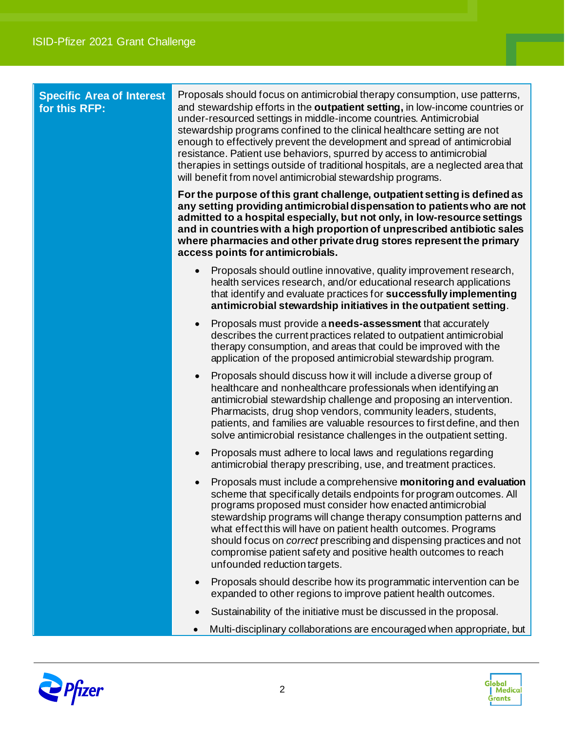| <b>Specific Area of Interest</b><br>for this RFP: | Proposals should focus on antimicrobial therapy consumption, use patterns,<br>and stewardship efforts in the outpatient setting, in low-income countries or<br>under-resourced settings in middle-income countries. Antimicrobial<br>stewardship programs confined to the clinical healthcare setting are not<br>enough to effectively prevent the development and spread of antimicrobial<br>resistance. Patient use behaviors, spurred by access to antimicrobial<br>therapies in settings outside of traditional hospitals, are a neglected area that<br>will benefit from novel antimicrobial stewardship programs. |
|---------------------------------------------------|-------------------------------------------------------------------------------------------------------------------------------------------------------------------------------------------------------------------------------------------------------------------------------------------------------------------------------------------------------------------------------------------------------------------------------------------------------------------------------------------------------------------------------------------------------------------------------------------------------------------------|
|                                                   | For the purpose of this grant challenge, outpatient setting is defined as<br>any setting providing antimicrobial dispensation to patients who are not<br>admitted to a hospital especially, but not only, in low-resource settings<br>and in countries with a high proportion of unprescribed antibiotic sales<br>where pharmacies and other private drug stores represent the primary<br>access points for antimicrobials.                                                                                                                                                                                             |
|                                                   | Proposals should outline innovative, quality improvement research,<br>health services research, and/or educational research applications<br>that identify and evaluate practices for successfully implementing<br>antimicrobial stewardship initiatives in the outpatient setting.                                                                                                                                                                                                                                                                                                                                      |
|                                                   | Proposals must provide a needs-assessment that accurately<br>describes the current practices related to outpatient antimicrobial<br>therapy consumption, and areas that could be improved with the<br>application of the proposed antimicrobial stewardship program.                                                                                                                                                                                                                                                                                                                                                    |
|                                                   | Proposals should discuss how it will include a diverse group of<br>$\bullet$<br>healthcare and nonhealthcare professionals when identifying an<br>antimicrobial stewardship challenge and proposing an intervention.<br>Pharmacists, drug shop vendors, community leaders, students,<br>patients, and families are valuable resources to first define, and then<br>solve antimicrobial resistance challenges in the outpatient setting.                                                                                                                                                                                 |
|                                                   | Proposals must adhere to local laws and regulations regarding<br>antimicrobial therapy prescribing, use, and treatment practices.                                                                                                                                                                                                                                                                                                                                                                                                                                                                                       |
|                                                   | Proposals must include a comprehensive monitoring and evaluation<br>scheme that specifically details endpoints for program outcomes. All<br>programs proposed must consider how enacted antimicrobial<br>stewardship programs will change therapy consumption patterns and<br>what effect this will have on patient health outcomes. Programs<br>should focus on <i>correct</i> prescribing and dispensing practices and not<br>compromise patient safety and positive health outcomes to reach<br>unfounded reduction targets.                                                                                         |
|                                                   | Proposals should describe how its programmatic intervention can be<br>expanded to other regions to improve patient health outcomes.                                                                                                                                                                                                                                                                                                                                                                                                                                                                                     |
|                                                   | Sustainability of the initiative must be discussed in the proposal.                                                                                                                                                                                                                                                                                                                                                                                                                                                                                                                                                     |
|                                                   | Multi-disciplinary collaborations are encouraged when appropriate, but                                                                                                                                                                                                                                                                                                                                                                                                                                                                                                                                                  |



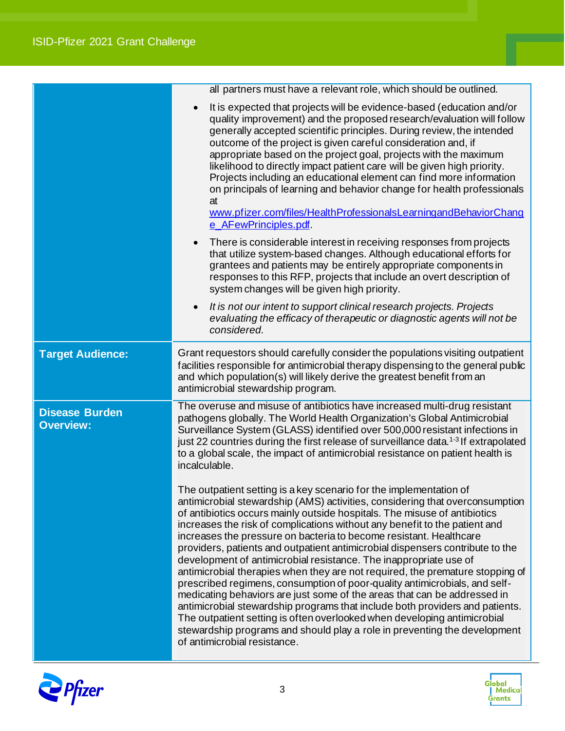|                                           | all partners must have a relevant role, which should be outlined.<br>It is expected that projects will be evidence-based (education and/or<br>quality improvement) and the proposed research/evaluation will follow<br>generally accepted scientific principles. During review, the intended<br>outcome of the project is given careful consideration and, if<br>appropriate based on the project goal, projects with the maximum<br>likelihood to directly impact patient care will be given high priority.<br>Projects including an educational element can find more information<br>on principals of learning and behavior change for health professionals<br>at<br>www.pfizer.com/files/HealthProfessionalsLearningandBehaviorChang<br>e AFewPrinciples.pdf.<br>There is considerable interest in receiving responses from projects<br>$\bullet$<br>that utilize system-based changes. Although educational efforts for<br>grantees and patients may be entirely appropriate components in                                                                |
|-------------------------------------------|---------------------------------------------------------------------------------------------------------------------------------------------------------------------------------------------------------------------------------------------------------------------------------------------------------------------------------------------------------------------------------------------------------------------------------------------------------------------------------------------------------------------------------------------------------------------------------------------------------------------------------------------------------------------------------------------------------------------------------------------------------------------------------------------------------------------------------------------------------------------------------------------------------------------------------------------------------------------------------------------------------------------------------------------------------------|
|                                           | responses to this RFP, projects that include an overt description of<br>system changes will be given high priority.                                                                                                                                                                                                                                                                                                                                                                                                                                                                                                                                                                                                                                                                                                                                                                                                                                                                                                                                           |
|                                           | It is not our intent to support clinical research projects. Projects<br>$\bullet$<br>evaluating the efficacy of therapeutic or diagnostic agents will not be<br>considered.                                                                                                                                                                                                                                                                                                                                                                                                                                                                                                                                                                                                                                                                                                                                                                                                                                                                                   |
| <b>Target Audience:</b>                   | Grant requestors should carefully consider the populations visiting outpatient<br>facilities responsible for antimicrobial therapy dispensing to the general public<br>and which population(s) will likely derive the greatest benefit from an<br>antimicrobial stewardship program.                                                                                                                                                                                                                                                                                                                                                                                                                                                                                                                                                                                                                                                                                                                                                                          |
| <b>Disease Burden</b><br><b>Overview:</b> | The overuse and misuse of antibiotics have increased multi-drug resistant<br>pathogens globally. The World Health Organization's Global Antimicrobial<br>Surveillance System (GLASS) identified over 500,000 resistant infections in<br>just 22 countries during the first release of surveillance data. <sup>1-3</sup> If extrapolated<br>to a global scale, the impact of antimicrobial resistance on patient health is<br>incalculable.                                                                                                                                                                                                                                                                                                                                                                                                                                                                                                                                                                                                                    |
|                                           | The outpatient setting is a key scenario for the implementation of<br>antimicrobial stewardship (AMS) activities, considering that overconsumption<br>of antibiotics occurs mainly outside hospitals. The misuse of antibiotics<br>increases the risk of complications without any benefit to the patient and<br>increases the pressure on bacteria to become resistant. Healthcare<br>providers, patients and outpatient antimicrobial dispensers contribute to the<br>development of antimicrobial resistance. The inappropriate use of<br>antimicrobial therapies when they are not required, the premature stopping of<br>prescribed regimens, consumption of poor-quality antimicrobials, and self-<br>medicating behaviors are just some of the areas that can be addressed in<br>antimicrobial stewardship programs that include both providers and patients.<br>The outpatient setting is often overlooked when developing antimicrobial<br>stewardship programs and should play a role in preventing the development<br>of antimicrobial resistance. |



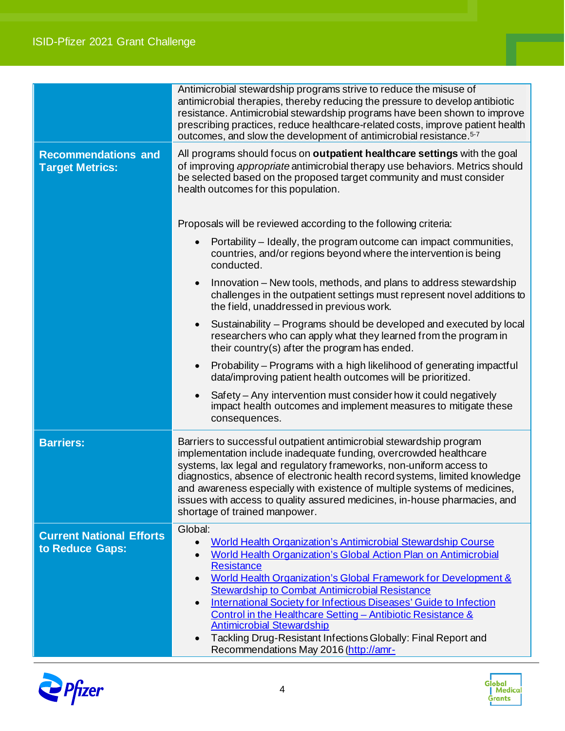#### 3 ISID-Pfizer 2021 Grant Challenge

|                                                      | Antimicrobial stewardship programs strive to reduce the misuse of<br>antimicrobial therapies, thereby reducing the pressure to develop antibiotic<br>resistance. Antimicrobial stewardship programs have been shown to improve<br>prescribing practices, reduce healthcare-related costs, improve patient health<br>outcomes, and slow the development of antimicrobial resistance. <sup>5-7</sup>                                                                                                                                                                                                                         |
|------------------------------------------------------|----------------------------------------------------------------------------------------------------------------------------------------------------------------------------------------------------------------------------------------------------------------------------------------------------------------------------------------------------------------------------------------------------------------------------------------------------------------------------------------------------------------------------------------------------------------------------------------------------------------------------|
| <b>Recommendations and</b><br><b>Target Metrics:</b> | All programs should focus on <b>outpatient healthcare settings</b> with the goal<br>of improving appropriate antimicrobial therapy use behaviors. Metrics should<br>be selected based on the proposed target community and must consider<br>health outcomes for this population.                                                                                                                                                                                                                                                                                                                                           |
|                                                      | Proposals will be reviewed according to the following criteria:                                                                                                                                                                                                                                                                                                                                                                                                                                                                                                                                                            |
|                                                      | Portability - Ideally, the program outcome can impact communities,<br>countries, and/or regions beyond where the intervention is being<br>conducted.                                                                                                                                                                                                                                                                                                                                                                                                                                                                       |
|                                                      | Innovation - New tools, methods, and plans to address stewardship<br>challenges in the outpatient settings must represent novel additions to<br>the field, unaddressed in previous work.                                                                                                                                                                                                                                                                                                                                                                                                                                   |
|                                                      | Sustainability - Programs should be developed and executed by local<br>$\bullet$<br>researchers who can apply what they learned from the program in<br>their country(s) after the program has ended.                                                                                                                                                                                                                                                                                                                                                                                                                       |
|                                                      | Probability – Programs with a high likelihood of generating impactful<br>$\bullet$<br>data/improving patient health outcomes will be prioritized.                                                                                                                                                                                                                                                                                                                                                                                                                                                                          |
|                                                      | Safety – Any intervention must consider how it could negatively<br>impact health outcomes and implement measures to mitigate these<br>consequences.                                                                                                                                                                                                                                                                                                                                                                                                                                                                        |
| <b>Barriers:</b>                                     | Barriers to successful outpatient antimicrobial stewardship program<br>implementation include inadequate funding, overcrowded healthcare<br>systems, lax legal and regulatory frameworks, non-uniform access to<br>diagnostics, absence of electronic health record systems, limited knowledge<br>and awareness especially with existence of multiple systems of medicines,<br>issues with access to quality assured medicines, in-house pharmacies, and<br>shortage of trained manpower.                                                                                                                                  |
| <b>Current National Efforts</b><br>to Reduce Gaps:   | Global:<br><b>World Health Organization's Antimicrobial Stewardship Course</b><br>$\bullet$<br>World Health Organization's Global Action Plan on Antimicrobial<br><b>Resistance</b><br>World Health Organization's Global Framework for Development &<br><b>Stewardship to Combat Antimicrobial Resistance</b><br>International Society for Infectious Diseases' Guide to Infection<br>$\bullet$<br>Control in the Healthcare Setting - Antibiotic Resistance &<br><b>Antimicrobial Stewardship</b><br>Tackling Drug-Resistant Infections Globally: Final Report and<br>$\bullet$<br>Recommendations May 2016 (http://amr- |



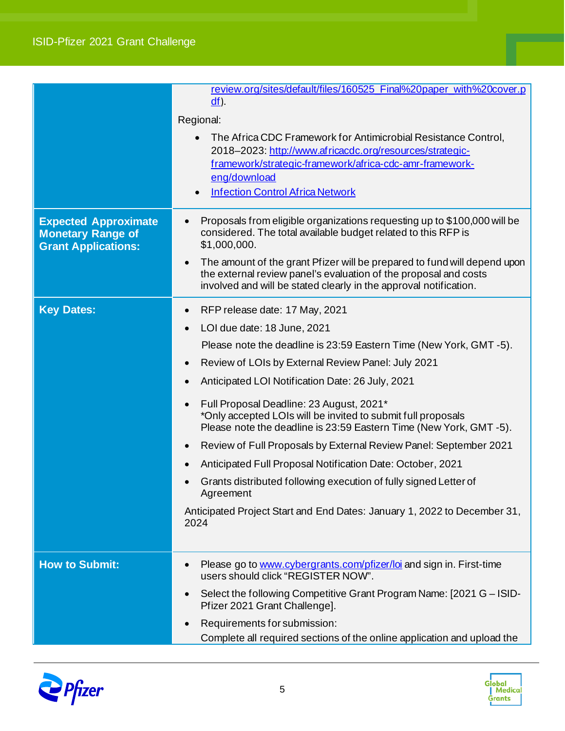#### 3 ISID-Pfizer 2021 Grant Challenge

|                                                                                       | review.org/sites/default/files/160525 Final%20paper with%20cover.p<br>$df$ ).<br>Regional:<br>The Africa CDC Framework for Antimicrobial Resistance Control.<br>2018-2023: http://www.africacdc.org/resources/strategic-                                                                                                                                                                                                                                                                                                                                                                                                                                                                                                                                         |
|---------------------------------------------------------------------------------------|------------------------------------------------------------------------------------------------------------------------------------------------------------------------------------------------------------------------------------------------------------------------------------------------------------------------------------------------------------------------------------------------------------------------------------------------------------------------------------------------------------------------------------------------------------------------------------------------------------------------------------------------------------------------------------------------------------------------------------------------------------------|
|                                                                                       | framework/strategic-framework/africa-cdc-amr-framework-<br>eng/download<br><b>Infection Control Africa Network</b>                                                                                                                                                                                                                                                                                                                                                                                                                                                                                                                                                                                                                                               |
| <b>Expected Approximate</b><br><b>Monetary Range of</b><br><b>Grant Applications:</b> | Proposals from eligible organizations requesting up to \$100,000 will be<br>considered. The total available budget related to this RFP is<br>\$1,000,000.<br>The amount of the grant Pfizer will be prepared to fund will depend upon<br>the external review panel's evaluation of the proposal and costs<br>involved and will be stated clearly in the approval notification.                                                                                                                                                                                                                                                                                                                                                                                   |
| <b>Key Dates:</b>                                                                     | RFP release date: 17 May, 2021<br>$\bullet$<br>LOI due date: 18 June, 2021<br>Please note the deadline is 23:59 Eastern Time (New York, GMT -5).<br>Review of LOIs by External Review Panel: July 2021<br>Anticipated LOI Notification Date: 26 July, 2021<br>$\bullet$<br>Full Proposal Deadline: 23 August, 2021*<br>*Only accepted LOIs will be invited to submit full proposals<br>Please note the deadline is 23:59 Eastern Time (New York, GMT-5).<br>Review of Full Proposals by External Review Panel: September 2021<br>Anticipated Full Proposal Notification Date: October, 2021<br>Grants distributed following execution of fully signed Letter of<br>Agreement<br>Anticipated Project Start and End Dates: January 1, 2022 to December 31,<br>2024 |
| <b>How to Submit:</b>                                                                 | Please go to www.cybergrants.com/pfizer/loi and sign in. First-time<br>$\bullet$<br>users should click "REGISTER NOW".<br>Select the following Competitive Grant Program Name: [2021 G - ISID-<br>Pfizer 2021 Grant Challenge].<br>Requirements for submission:<br>Complete all required sections of the online application and upload the                                                                                                                                                                                                                                                                                                                                                                                                                       |



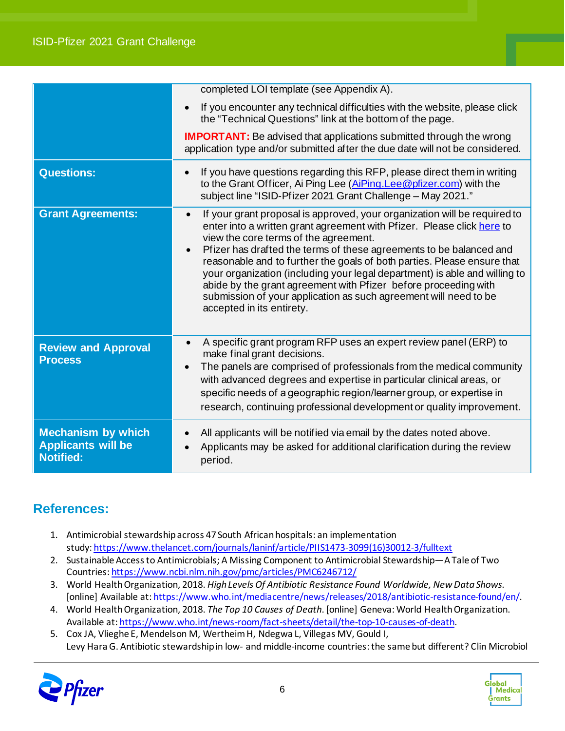|                                                                            | completed LOI template (see Appendix A).                                                                                                                                                                                                                                                                                                                                                                                                                                                                                                                                                                                   |
|----------------------------------------------------------------------------|----------------------------------------------------------------------------------------------------------------------------------------------------------------------------------------------------------------------------------------------------------------------------------------------------------------------------------------------------------------------------------------------------------------------------------------------------------------------------------------------------------------------------------------------------------------------------------------------------------------------------|
|                                                                            | If you encounter any technical difficulties with the website, please click<br>the "Technical Questions" link at the bottom of the page.                                                                                                                                                                                                                                                                                                                                                                                                                                                                                    |
|                                                                            | <b>IMPORTANT:</b> Be advised that applications submitted through the wrong<br>application type and/or submitted after the due date will not be considered.                                                                                                                                                                                                                                                                                                                                                                                                                                                                 |
| <b>Questions:</b>                                                          | If you have questions regarding this RFP, please direct them in writing<br>to the Grant Officer, Ai Ping Lee (AiPing. Lee @pfizer.com) with the<br>subject line "ISID-Pfizer 2021 Grant Challenge - May 2021."                                                                                                                                                                                                                                                                                                                                                                                                             |
| <b>Grant Agreements:</b>                                                   | If your grant proposal is approved, your organization will be required to<br>$\bullet$<br>enter into a written grant agreement with Pfizer. Please click here to<br>view the core terms of the agreement.<br>Pfizer has drafted the terms of these agreements to be balanced and<br>$\bullet$<br>reasonable and to further the goals of both parties. Please ensure that<br>your organization (including your legal department) is able and willing to<br>abide by the grant agreement with Pfizer before proceeding with<br>submission of your application as such agreement will need to be<br>accepted in its entirety. |
| <b>Review and Approval</b><br><b>Process</b>                               | A specific grant program RFP uses an expert review panel (ERP) to<br>$\bullet$<br>make final grant decisions.<br>The panels are comprised of professionals from the medical community<br>with advanced degrees and expertise in particular clinical areas, or<br>specific needs of a geographic region/learner group, or expertise in<br>research, continuing professional development or quality improvement.                                                                                                                                                                                                             |
| <b>Mechanism by which</b><br><b>Applicants will be</b><br><b>Notified:</b> | All applicants will be notified via email by the dates noted above.<br>Applicants may be asked for additional clarification during the review<br>period.                                                                                                                                                                                                                                                                                                                                                                                                                                                                   |

## **References:**

- 1. Antimicrobial stewardship across 47 South African hospitals: an implementation study: [https://www.thelancet.com/journals/laninf/article/PIIS1473-3099\(16\)30012-3/fulltext](https://www.thelancet.com/journals/laninf/article/PIIS1473-3099(16)30012-3/fulltext)
- 2. Sustainable Access to Antimicrobials; A Missing Component to Antimicrobial Stewardship—A Tale of Two Countries: <https://www.ncbi.nlm.nih.gov/pmc/articles/PMC6246712/>
- 3. World Health Organization, 2018. *High Levels Of Antibiotic Resistance Found Worldwide, New Data Shows*. [online] Available at: https://www.who.int/mediacentre/news/releases/2018/antibiotic-resistance-found/en/.
- 4. World Health Organization, 2018. *The Top 10 Causes of Death*. [online] Geneva: World Health Organization. Available at[: https://www.who.int/news-room/fact-sheets/detail/the-top-10-causes-of-death.](https://www.who.int/news-room/fact-sheets/detail/the-top-10-causes-of-death)
- 5. Cox JA, Vlieghe E, Mendelson M, Wertheim H, Ndegwa L, Villegas MV, Gould I, Levy Hara G. Antibiotic stewardship in low- and middle-income countries: the same but different? Clin Microbiol



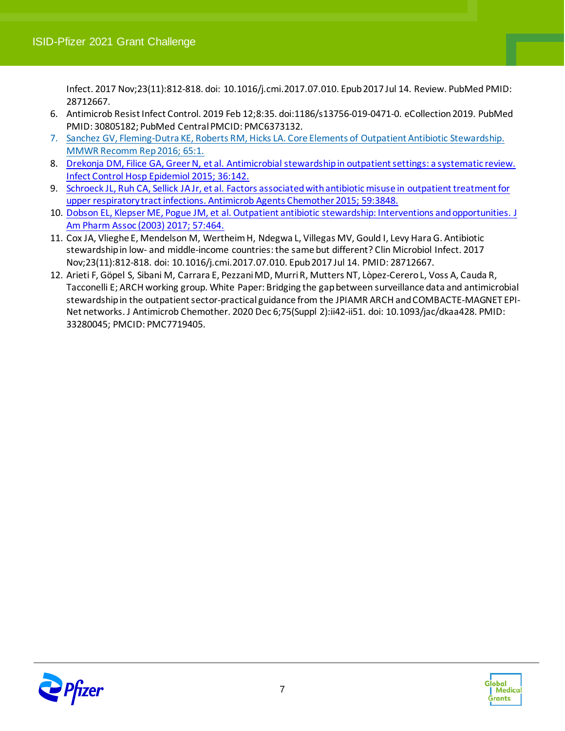Infect. 2017 Nov;23(11):812-818. doi: 10.1016/j.cmi.2017.07.010. Epub 2017 Jul 14. Review. PubMed PMID: 28712667.

- 6. Antimicrob Resist Infect Control. 2019 Feb 12;8:35. doi:1186/s13756-019-0471-0. eCollection 2019. PubMed PMID: 30805182; PubMed Central PMCID: PMC6373132.
- 7. [Sanchez GV, Fleming-Dutra KE, Roberts RM, Hicks LA. Core Elements of Outpatient Antibiotic Stewardship.](https://www.uptodate.com/contents/antimicrobial-stewardship-in-outpatient-settings/abstract/2)  [MMWR Recomm Rep 2016; 65:1.](https://www.uptodate.com/contents/antimicrobial-stewardship-in-outpatient-settings/abstract/2)
- 8. [Drekonja DM, Filice GA, Greer N, et al. Antimicrobial stewardship in outpatient settings: a systematic review.](https://www.uptodate.com/contents/antimicrobial-stewardship-in-outpatient-settings/abstract/6)  [Infect Control Hosp Epidemiol 2015; 36:142.](https://www.uptodate.com/contents/antimicrobial-stewardship-in-outpatient-settings/abstract/6)
- 9. [Schroeck JL, Ruh CA, Sellick JA Jr, et al. Factors associated with antibiotic misuse in outpatient treatment for](https://www.uptodate.com/contents/antimicrobial-stewardship-in-outpatient-settings/abstract/7)  [upper respiratory tract infections. Antimicrob Agents Chemother 2015; 59:3848.](https://www.uptodate.com/contents/antimicrobial-stewardship-in-outpatient-settings/abstract/7)
- 10. [Dobson EL, Klepser ME, Pogue JM, et al. Outpatient antibiotic stewardship: Interventions andopportunities. J](https://www.uptodate.com/contents/antimicrobial-stewardship-in-outpatient-settings/abstract/24)  [Am Pharm Assoc \(2003\) 2017; 57:464.](https://www.uptodate.com/contents/antimicrobial-stewardship-in-outpatient-settings/abstract/24)
- 11. Cox JA, Vlieghe E, Mendelson M, Wertheim H, Ndegwa L, Villegas MV, Gould I, Levy Hara G. Antibiotic stewardship in low- and middle-income countries: the same but different? Clin Microbiol Infect. 2017 Nov;23(11):812-818. doi: 10.1016/j.cmi.2017.07.010. Epub 2017 Jul 14. PMID: 28712667.
- 12. Arieti F, Göpel S, Sibani M, Carrara E, Pezzani MD, Murri R, Mutters NT, Lòpez-Cerero L, Voss A, Cauda R, Tacconelli E; ARCH working group. White Paper: Bridging the gap between surveillance data and antimicrobial stewardship in the outpatient sector-practical guidance from the JPIAMR ARCH and COMBACTE-MAGNET EPI-Net networks. J Antimicrob Chemother. 2020 Dec 6;75(Suppl 2):ii42-ii51. doi: 10.1093/jac/dkaa428. PMID: 33280045; PMCID: PMC7719405.



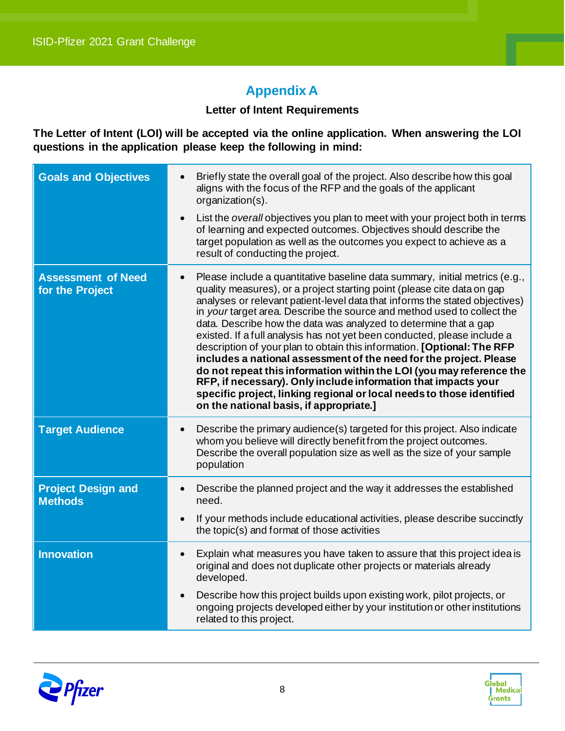## **Appendix A**

#### **Letter of Intent Requirements**

**The Letter of Intent (LOI) will be accepted via the online application. When answering the LOI questions in the application please keep the following in mind:**

| <b>Goals and Objectives</b>                  | Briefly state the overall goal of the project. Also describe how this goal<br>aligns with the focus of the RFP and the goals of the applicant<br>organization(s).<br>List the overall objectives you plan to meet with your project both in terms<br>$\bullet$<br>of learning and expected outcomes. Objectives should describe the<br>target population as well as the outcomes you expect to achieve as a                                                                                                                                                                                                                                                                                                                                                                                                                                                                     |
|----------------------------------------------|---------------------------------------------------------------------------------------------------------------------------------------------------------------------------------------------------------------------------------------------------------------------------------------------------------------------------------------------------------------------------------------------------------------------------------------------------------------------------------------------------------------------------------------------------------------------------------------------------------------------------------------------------------------------------------------------------------------------------------------------------------------------------------------------------------------------------------------------------------------------------------|
|                                              | result of conducting the project.                                                                                                                                                                                                                                                                                                                                                                                                                                                                                                                                                                                                                                                                                                                                                                                                                                               |
| <b>Assessment of Need</b><br>for the Project | Please include a quantitative baseline data summary, initial metrics (e.g.,<br>quality measures), or a project starting point (please cite data on gap<br>analyses or relevant patient-level data that informs the stated objectives)<br>in your target area. Describe the source and method used to collect the<br>data. Describe how the data was analyzed to determine that a gap<br>existed. If a full analysis has not yet been conducted, please include a<br>description of your plan to obtain this information. [Optional: The RFP<br>includes a national assessment of the need for the project. Please<br>do not repeat this information within the LOI (you may reference the<br>RFP, if necessary). Only include information that impacts your<br>specific project, linking regional or local needs to those identified<br>on the national basis, if appropriate.] |
| <b>Target Audience</b>                       | Describe the primary audience(s) targeted for this project. Also indicate<br>$\bullet$<br>whom you believe will directly benefit from the project outcomes.<br>Describe the overall population size as well as the size of your sample<br>population                                                                                                                                                                                                                                                                                                                                                                                                                                                                                                                                                                                                                            |
| <b>Project Design and</b><br><b>Methods</b>  | Describe the planned project and the way it addresses the established<br>$\bullet$<br>need.                                                                                                                                                                                                                                                                                                                                                                                                                                                                                                                                                                                                                                                                                                                                                                                     |
|                                              | If your methods include educational activities, please describe succinctly<br>$\bullet$<br>the topic(s) and format of those activities                                                                                                                                                                                                                                                                                                                                                                                                                                                                                                                                                                                                                                                                                                                                          |
| <b>Innovation</b>                            | Explain what measures you have taken to assure that this project idea is<br>$\bullet$<br>original and does not duplicate other projects or materials already<br>developed.                                                                                                                                                                                                                                                                                                                                                                                                                                                                                                                                                                                                                                                                                                      |
|                                              | Describe how this project builds upon existing work, pilot projects, or<br>$\bullet$<br>ongoing projects developed either by your institution or other institutions<br>related to this project.                                                                                                                                                                                                                                                                                                                                                                                                                                                                                                                                                                                                                                                                                 |



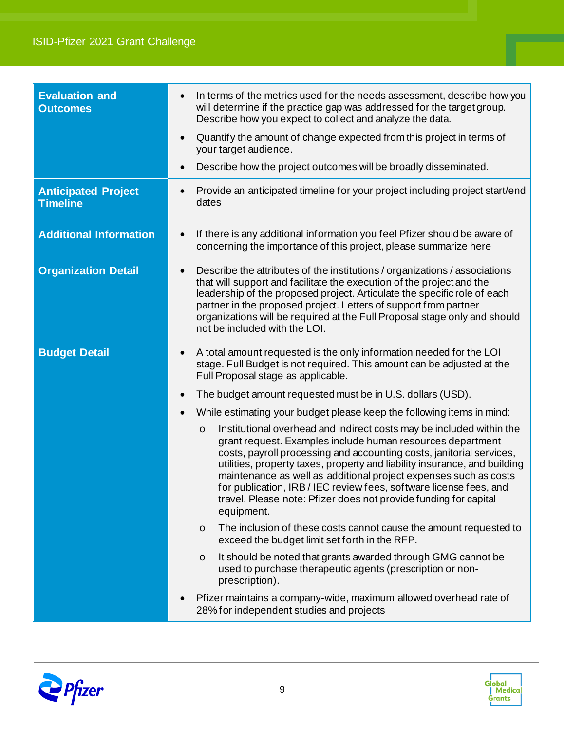| <b>Evaluation and</b><br><b>Outcomes</b>      | In terms of the metrics used for the needs assessment, describe how you<br>$\bullet$<br>will determine if the practice gap was addressed for the target group.<br>Describe how you expect to collect and analyze the data.<br>Quantify the amount of change expected from this project in terms of<br>$\bullet$<br>your target audience.<br>Describe how the project outcomes will be broadly disseminated.<br>$\bullet$                                                                                                                                                                                                                                                                                                                                                                                                                                                                                                                                                                                                                                                                                                                                                                                                                                                                           |
|-----------------------------------------------|----------------------------------------------------------------------------------------------------------------------------------------------------------------------------------------------------------------------------------------------------------------------------------------------------------------------------------------------------------------------------------------------------------------------------------------------------------------------------------------------------------------------------------------------------------------------------------------------------------------------------------------------------------------------------------------------------------------------------------------------------------------------------------------------------------------------------------------------------------------------------------------------------------------------------------------------------------------------------------------------------------------------------------------------------------------------------------------------------------------------------------------------------------------------------------------------------------------------------------------------------------------------------------------------------|
| <b>Anticipated Project</b><br><b>Timeline</b> | Provide an anticipated timeline for your project including project start/end<br>dates                                                                                                                                                                                                                                                                                                                                                                                                                                                                                                                                                                                                                                                                                                                                                                                                                                                                                                                                                                                                                                                                                                                                                                                                              |
| <b>Additional Information</b>                 | If there is any additional information you feel Pfizer should be aware of<br>$\bullet$<br>concerning the importance of this project, please summarize here                                                                                                                                                                                                                                                                                                                                                                                                                                                                                                                                                                                                                                                                                                                                                                                                                                                                                                                                                                                                                                                                                                                                         |
| <b>Organization Detail</b>                    | Describe the attributes of the institutions / organizations / associations<br>$\bullet$<br>that will support and facilitate the execution of the project and the<br>leadership of the proposed project. Articulate the specific role of each<br>partner in the proposed project. Letters of support from partner<br>organizations will be required at the Full Proposal stage only and should<br>not be included with the LOI.                                                                                                                                                                                                                                                                                                                                                                                                                                                                                                                                                                                                                                                                                                                                                                                                                                                                     |
| <b>Budget Detail</b>                          | A total amount requested is the only information needed for the LOI<br>$\bullet$<br>stage. Full Budget is not required. This amount can be adjusted at the<br>Full Proposal stage as applicable.<br>The budget amount requested must be in U.S. dollars (USD).<br>$\bullet$<br>While estimating your budget please keep the following items in mind:<br>Institutional overhead and indirect costs may be included within the<br>$\circ$<br>grant request. Examples include human resources department<br>costs, payroll processing and accounting costs, janitorial services,<br>utilities, property taxes, property and liability insurance, and building<br>maintenance as well as additional project expenses such as costs<br>for publication, IRB / IEC review fees, software license fees, and<br>travel. Please note: Pfizer does not provide funding for capital<br>equipment.<br>The inclusion of these costs cannot cause the amount requested to<br>$\circ$<br>exceed the budget limit set forth in the RFP.<br>It should be noted that grants awarded through GMG cannot be<br>$\circ$<br>used to purchase therapeutic agents (prescription or non-<br>prescription).<br>Pfizer maintains a company-wide, maximum allowed overhead rate of<br>28% for independent studies and projects |